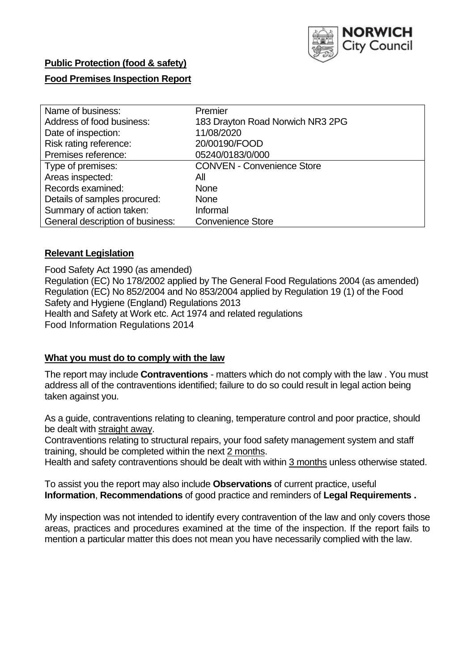

## **Public Protection (food & safety)**

### **Food Premises Inspection Report**

| Name of business:                | Premier                           |
|----------------------------------|-----------------------------------|
| Address of food business:        | 183 Drayton Road Norwich NR3 2PG  |
| Date of inspection:              | 11/08/2020                        |
| Risk rating reference:           | 20/00190/FOOD                     |
| Premises reference:              | 05240/0183/0/000                  |
| Type of premises:                | <b>CONVEN - Convenience Store</b> |
| Areas inspected:                 | All                               |
| Records examined:                | <b>None</b>                       |
| Details of samples procured:     | <b>None</b>                       |
| Summary of action taken:         | Informal                          |
| General description of business: | <b>Convenience Store</b>          |

### **Relevant Legislation**

 Food Safety Act 1990 (as amended) Regulation (EC) No 178/2002 applied by The General Food Regulations 2004 (as amended) Regulation (EC) No 852/2004 and No 853/2004 applied by Regulation 19 (1) of the Food Safety and Hygiene (England) Regulations 2013 Health and Safety at Work etc. Act 1974 and related regulations Food Information Regulations 2014

### **What you must do to comply with the law**

 The report may include **Contraventions** - matters which do not comply with the law . You must address all of the contraventions identified; failure to do so could result in legal action being taken against you.

 As a guide, contraventions relating to cleaning, temperature control and poor practice, should be dealt with straight away.

 Contraventions relating to structural repairs, your food safety management system and staff training, should be completed within the next 2 months.

Health and safety contraventions should be dealt with within 3 months unless otherwise stated.

 To assist you the report may also include **Observations** of current practice, useful **Information**, **Recommendations** of good practice and reminders of **Legal Requirements .** 

 My inspection was not intended to identify every contravention of the law and only covers those areas, practices and procedures examined at the time of the inspection. If the report fails to mention a particular matter this does not mean you have necessarily complied with the law.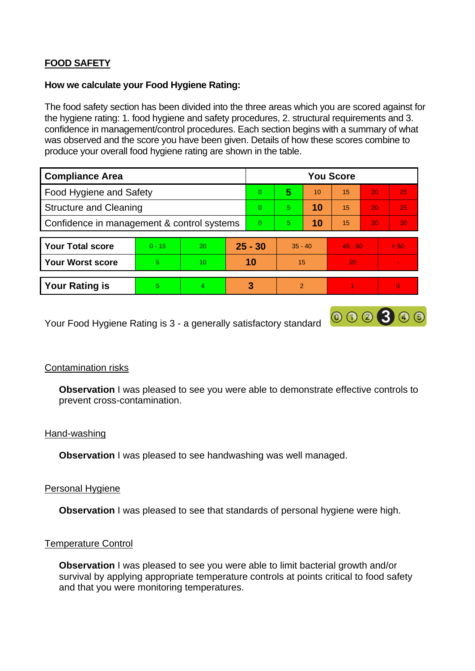# **FOOD SAFETY**

### **How we calculate your Food Hygiene Rating:**

 The food safety section has been divided into the three areas which you are scored against for the hygiene rating: 1. food hygiene and safety procedures, 2. structural requirements and 3. confidence in management/control procedures. Each section begins with a summary of what was observed and the score you have been given. Details of how these scores combine to produce your overall food hygiene rating are shown in the table.

| <b>Compliance Area</b>                     |          |           |           | <b>You Score</b> |               |    |           |    |      |  |  |
|--------------------------------------------|----------|-----------|-----------|------------------|---------------|----|-----------|----|------|--|--|
| Food Hygiene and Safety                    |          |           |           | 0                | 5             | 10 | 15        | 20 | 25   |  |  |
| <b>Structure and Cleaning</b>              |          |           | $\Omega$  | 5                | 10            | 15 | 20        | 25 |      |  |  |
| Confidence in management & control systems |          |           | $\Omega$  | 5                | 10            | 15 | 20        | 30 |      |  |  |
|                                            |          |           |           |                  |               |    |           |    |      |  |  |
| <b>Your Total score</b>                    | $0 - 15$ | <b>20</b> | $25 - 30$ |                  | $35 - 40$     |    | $45 - 50$ |    | > 50 |  |  |
| <b>Your Worst score</b>                    | 5        | 10        | 10        |                  | 15            |    | 20        |    |      |  |  |
|                                            |          |           |           |                  |               |    |           |    |      |  |  |
| <b>Your Rating is</b>                      | 5.       | 4         |           | 3                | $\mathcal{P}$ |    |           |    |      |  |  |

Your Food Hygiene Rating is 3 - a generally satisfactory standard

### Contamination risks

**Observation** I was pleased to see you were able to demonstrate effective controls to prevent cross-contamination.

000300

#### Hand-washing

**Observation** I was pleased to see handwashing was well managed.

#### Personal Hygiene

**Observation** I was pleased to see that standards of personal hygiene were high.

### Temperature Control

**Observation** I was pleased to see you were able to limit bacterial growth and/or survival by applying appropriate temperature controls at points critical to food safety and that you were monitoring temperatures.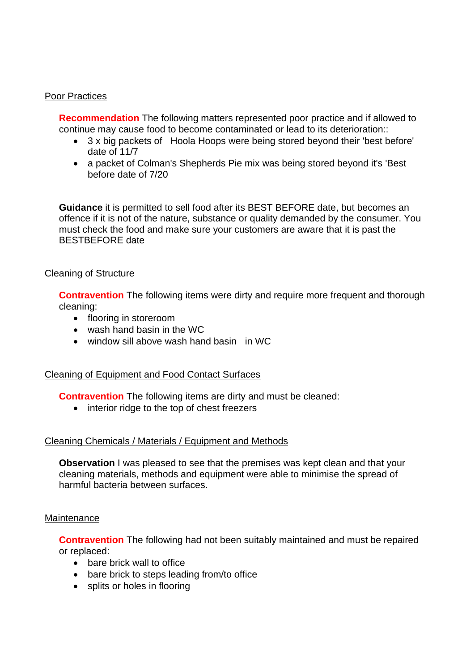### Poor Practices

**Recommendation** The following matters represented poor practice and if allowed to continue may cause food to become contaminated or lead to its deterioration::

- • 3 x big packets of Hoola Hoops were being stored beyond their 'best before' date of 11/7
- a packet of Colman's Shepherds Pie mix was being stored beyond it's 'Best before date of 7/20

 must check the food and make sure your customers are aware that it is past the **Guidance** it is permitted to sell food after its BEST BEFORE date, but becomes an offence if it is not of the nature, substance or quality demanded by the consumer. You BESTBEFORE date

### Cleaning of Structure

**Contravention** The following items were dirty and require more frequent and thorough cleaning:

- flooring in storeroom
- wash hand basin in the WC
- window sill above wash hand basin in WC

#### Cleaning of Equipment and Food Contact Surfaces

**Contravention** The following items are dirty and must be cleaned:

• interior ridge to the top of chest freezers

#### Cleaning Chemicals / Materials / Equipment and Methods

**Observation** I was pleased to see that the premises was kept clean and that your cleaning materials, methods and equipment were able to minimise the spread of harmful bacteria between surfaces.

#### **Maintenance**

**Contravention** The following had not been suitably maintained and must be repaired or replaced:

- bare brick wall to office
- bare brick to steps leading from/to office
- splits or holes in flooring